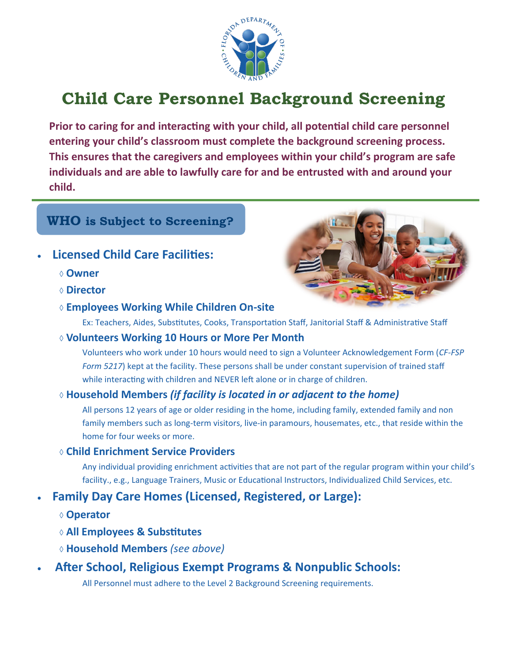

# **Child Care Personnel Background Screening**

**Prior to caring for and interacting with your child, all potential child care personnel entering your child's classroom must complete the background screening process. This ensures that the caregivers and employees within your child's program are safe individuals and are able to lawfully care for and be entrusted with and around your child.**

# **WHO is Subject to Screening?**

- **Licensed Child Care Facilities:**
	- **Owner**
	- **Director**
	- **Employees Working While Children On-site**

Ex: Teachers, Aides, Substitutes, Cooks, Transportation Staff, Janitorial Staff & Administrative Staff

**Volunteers Working 10 Hours or More Per Month**

Volunteers who work under 10 hours would need to sign a Volunteer Acknowledgement Form (*CF-FSP Form 5217*) kept at the facility. These persons shall be under constant supervision of trained staff while interacting with children and NEVER left alone or in charge of children.

### **Household Members** *(if facility is located in or adjacent to the home)*

All persons 12 years of age or older residing in the home, including family, extended family and non family members such as long-term visitors, live-in paramours, housemates, etc., that reside within the home for four weeks or more.

#### **Child Enrichment Service Providers**

Any individual providing enrichment activities that are not part of the regular program within your child's facility., e.g., Language Trainers, Music or Educational Instructors, Individualized Child Services, etc.

## • **Family Day Care Homes (Licensed, Registered, or Large):**

- **Operator**
- **All Employees & Substitutes**
- **Household Members** *(see above)*
- **After School, Religious Exempt Programs & Nonpublic Schools:**

All Personnel must adhere to the Level 2 Background Screening requirements.